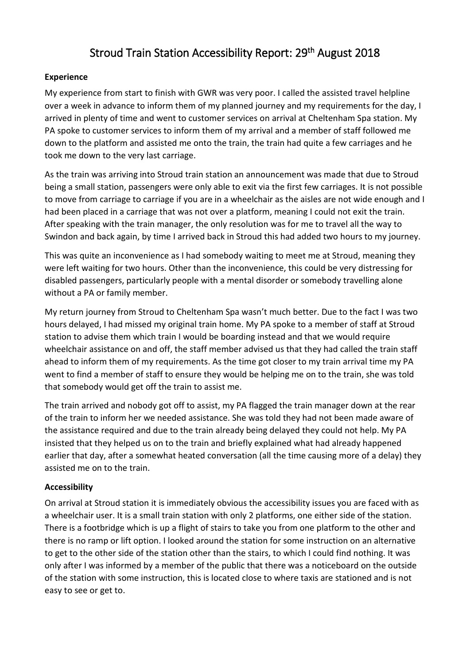# Stroud Train Station Accessibility Report: 29th August 2018

# **Experience**

My experience from start to finish with GWR was very poor. I called the assisted travel helpline over a week in advance to inform them of my planned journey and my requirements for the day, I arrived in plenty of time and went to customer services on arrival at Cheltenham Spa station. My PA spoke to customer services to inform them of my arrival and a member of staff followed me down to the platform and assisted me onto the train, the train had quite a few carriages and he took me down to the very last carriage.

As the train was arriving into Stroud train station an announcement was made that due to Stroud being a small station, passengers were only able to exit via the first few carriages. It is not possible to move from carriage to carriage if you are in a wheelchair as the aisles are not wide enough and I had been placed in a carriage that was not over a platform, meaning I could not exit the train. After speaking with the train manager, the only resolution was for me to travel all the way to Swindon and back again, by time I arrived back in Stroud this had added two hours to my journey.

This was quite an inconvenience as I had somebody waiting to meet me at Stroud, meaning they were left waiting for two hours. Other than the inconvenience, this could be very distressing for disabled passengers, particularly people with a mental disorder or somebody travelling alone without a PA or family member.

My return journey from Stroud to Cheltenham Spa wasn't much better. Due to the fact I was two hours delayed, I had missed my original train home. My PA spoke to a member of staff at Stroud station to advise them which train I would be boarding instead and that we would require wheelchair assistance on and off, the staff member advised us that they had called the train staff ahead to inform them of my requirements. As the time got closer to my train arrival time my PA went to find a member of staff to ensure they would be helping me on to the train, she was told that somebody would get off the train to assist me.

The train arrived and nobody got off to assist, my PA flagged the train manager down at the rear of the train to inform her we needed assistance. She was told they had not been made aware of the assistance required and due to the train already being delayed they could not help. My PA insisted that they helped us on to the train and briefly explained what had already happened earlier that day, after a somewhat heated conversation (all the time causing more of a delay) they assisted me on to the train.

## **Accessibility**

On arrival at Stroud station it is immediately obvious the accessibility issues you are faced with as a wheelchair user. It is a small train station with only 2 platforms, one either side of the station. There is a footbridge which is up a flight of stairs to take you from one platform to the other and there is no ramp or lift option. I looked around the station for some instruction on an alternative to get to the other side of the station other than the stairs, to which I could find nothing. It was only after I was informed by a member of the public that there was a noticeboard on the outside of the station with some instruction, this is located close to where taxis are stationed and is not easy to see or get to.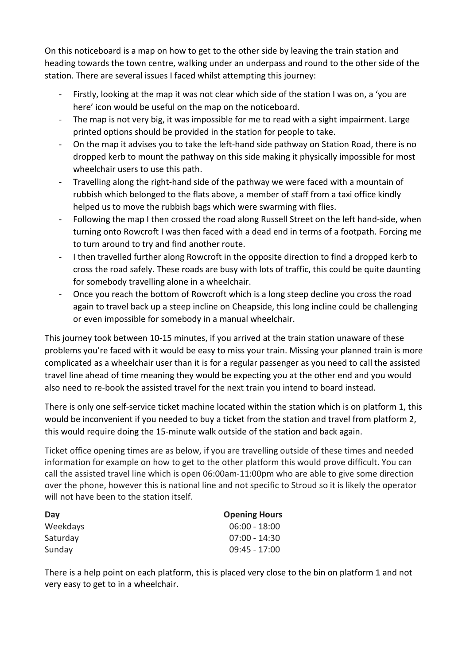On this noticeboard is a map on how to get to the other side by leaving the train station and heading towards the town centre, walking under an underpass and round to the other side of the station. There are several issues I faced whilst attempting this journey:

- Firstly, looking at the map it was not clear which side of the station I was on, a 'you are here' icon would be useful on the map on the noticeboard.
- The map is not very big, it was impossible for me to read with a sight impairment. Large printed options should be provided in the station for people to take.
- On the map it advises you to take the left-hand side pathway on Station Road, there is no dropped kerb to mount the pathway on this side making it physically impossible for most wheelchair users to use this path.
- Travelling along the right-hand side of the pathway we were faced with a mountain of rubbish which belonged to the flats above, a member of staff from a taxi office kindly helped us to move the rubbish bags which were swarming with flies.
- Following the map I then crossed the road along Russell Street on the left hand-side, when turning onto Rowcroft I was then faced with a dead end in terms of a footpath. Forcing me to turn around to try and find another route.
- I then travelled further along Rowcroft in the opposite direction to find a dropped kerb to cross the road safely. These roads are busy with lots of traffic, this could be quite daunting for somebody travelling alone in a wheelchair.
- Once you reach the bottom of Rowcroft which is a long steep decline you cross the road again to travel back up a steep incline on Cheapside, this long incline could be challenging or even impossible for somebody in a manual wheelchair.

This journey took between 10-15 minutes, if you arrived at the train station unaware of these problems you're faced with it would be easy to miss your train. Missing your planned train is more complicated as a wheelchair user than it is for a regular passenger as you need to call the assisted travel line ahead of time meaning they would be expecting you at the other end and you would also need to re-book the assisted travel for the next train you intend to board instead.

There is only one self-service ticket machine located within the station which is on platform 1, this would be inconvenient if you needed to buy a ticket from the station and travel from platform 2, this would require doing the 15-minute walk outside of the station and back again.

Ticket office opening times are as below, if you are travelling outside of these times and needed information for example on how to get to the other platform this would prove difficult. You can call the assisted travel line which is open 06:00am-11:00pm who are able to give some direction over the phone, however this is national line and not specific to Stroud so it is likely the operator will not have been to the station itself.

| Day      | <b>Opening Hours</b> |
|----------|----------------------|
| Weekdays | $06:00 - 18:00$      |
| Saturday | $07:00 - 14:30$      |
| Sunday   | $09:45 - 17:00$      |

There is a help point on each platform, this is placed very close to the bin on platform 1 and not very easy to get to in a wheelchair.